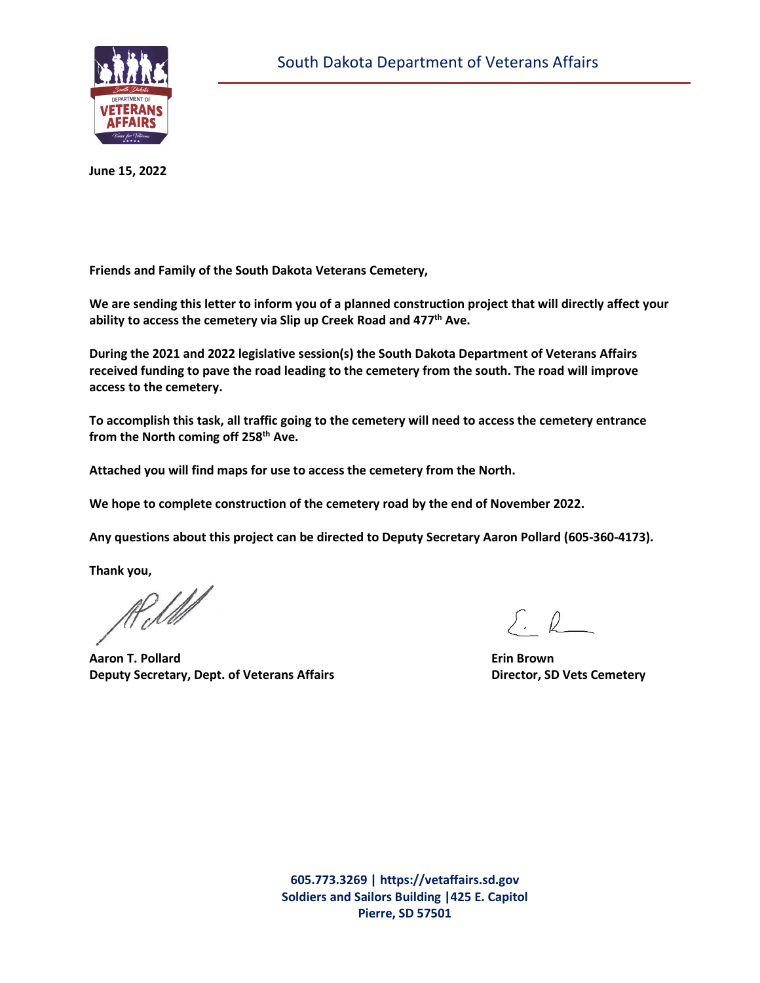

**June 15, 2022**

**Friends and Family of the South Dakota Veterans Cemetery,** 

**We are sending this letter to inform you of a planned construction project that will directly affect your ability to access the cemetery via Slip up Creek Road and 477th Ave.** 

**During the 2021 and 2022 legislative session(s) the South Dakota Department of Veterans Affairs received funding to pave the road leading to the cemetery from the south. The road will improve access to the cemetery.** 

**To accomplish this task, all traffic going to the cemetery will need to access the cemetery entrance from the North coming off 258th Ave.** 

**Attached you will find maps for use to access the cemetery from the North.** 

**We hope to complete construction of the cemetery road by the end of November 2022.** 

**Any questions about this project can be directed to Deputy Secretary Aaron Pollard (605-360-4173).** 

**Thank you,** 

Rell

**Aaron T. Pollard Erin Brown Deputy Secretary, Dept. of Veterans Affairs <b>Director, SD Vets Cemetery** 

 $\Sigma L$ 

**605.773.3269 | https://vetaffairs.sd.gov Soldiers and Sailors Building |425 E. Capitol Pierre, SD 57501**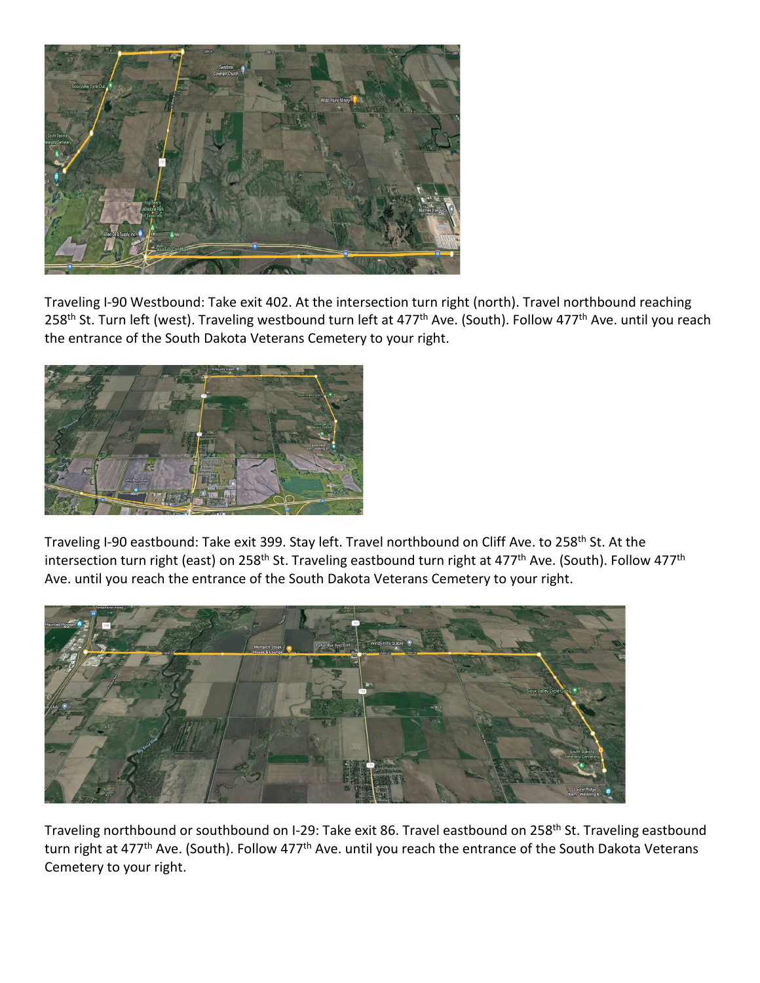

Traveling I-90 Westbound: Take exit 402. At the intersection turn right (north). Travel northbound reaching 258<sup>th</sup> St. Turn left (west). Traveling westbound turn left at 477<sup>th</sup> Ave. (South). Follow 477<sup>th</sup> Ave. until you reach the entrance of the South Dakota Veterans Cemetery to your right.



Traveling I-90 eastbound: Take exit 399. Stay left. Travel northbound on Cliff Ave. to 258<sup>th</sup> St. At the intersection turn right (east) on 258<sup>th</sup> St. Traveling eastbound turn right at 477<sup>th</sup> Ave. (South). Follow 477<sup>th</sup> Ave. until you reach the entrance of the South Dakota Veterans Cemetery to your right.



Traveling northbound or southbound on I-29: Take exit 86. Travel eastbound on 258<sup>th</sup> St. Traveling eastbound turn right at 477<sup>th</sup> Ave. (South). Follow 477<sup>th</sup> Ave. until you reach the entrance of the South Dakota Veterans Cemetery to your right.